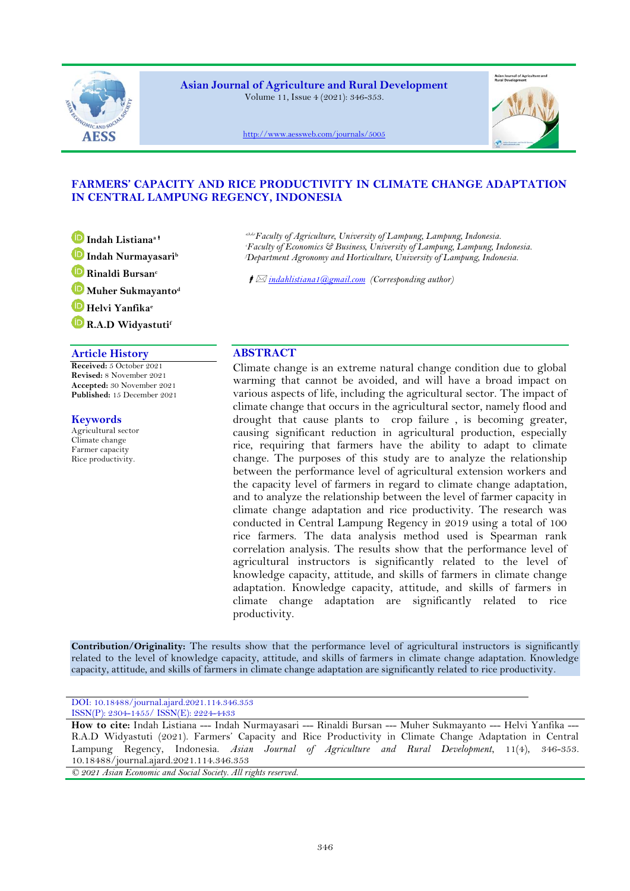

**Asian Journal of Agriculture and Rural Development** Volume 11, Issue 4 (2021): 346-353.



<http://www.aessweb.com/journals/5005>

# **FARMERS' CAPACITY AND RICE PRODUCTIVITY IN CLIMATE CHANGE ADAPTATION IN CENTRAL LAMPUNG REGENCY, INDONESIA**

**Indah Listianaa Indah Nurmayasari<sup>b</sup> Rinaldi Bursan<sup>c</sup> Muher Sukmayanto<sup>d</sup> Helvi Yanfika<sup>e</sup> R.A.D Widyastuti<sup>f</sup>**

## **Article History ABSTRACT**

**Received:** 5 October 2021 **Revised:** 8 November 2021 **Accepted:** 30 November 2021 **Published:** 15 December 2021

# **Keywords**

Agricultural sector Climate change Farmer capacity Rice productivity.

*a,b,d,eFaculty of Agriculture, University of Lampung, Lampung, Indonesia.*

*<sup>c</sup>Faculty of Economics & Business, University of Lampung, Lampung, Indonesia. <sup>f</sup>Department Agronomy and Horticulture, University of Lampung, Indonesia.*

*[indahlistiana1@gmail.com](mailto:indahlistiana1@gmail.com) (Corresponding author)*

Climate change is an extreme natural change condition due to global warming that cannot be avoided, and will have a broad impact on various aspects of life, including the agricultural sector. The impact of climate change that occurs in the agricultural sector, namely flood and drought that cause plants to crop failure , is becoming greater, causing significant reduction in agricultural production, especially rice, requiring that farmers have the ability to adapt to climate change. The purposes of this study are to analyze the relationship between the performance level of agricultural extension workers and the capacity level of farmers in regard to climate change adaptation, and to analyze the relationship between the level of farmer capacity in climate change adaptation and rice productivity. The research was conducted in Central Lampung Regency in 2019 using a total of 100 rice farmers. The data analysis method used is Spearman rank correlation analysis. The results show that the performance level of agricultural instructors is significantly related to the level of knowledge capacity, attitude, and skills of farmers in climate change adaptation. Knowledge capacity, attitude, and skills of farmers in climate change adaptation are significantly related to rice productivity.

**Contribution/Originality:** The results show that the performance level of agricultural instructors is significantly related to the level of knowledge capacity, attitude, and skills of farmers in climate change adaptation. Knowledge capacity, attitude, and skills of farmers in climate change adaptation are significantly related to rice productivity.

DOI: 10.18488/journal.ajard.2021.114.346.353 ISSN(P): 2304-1455/ ISSN(E): 2224-4433

**How to cite:** Indah Listiana --- Indah Nurmayasari --- Rinaldi Bursan --- Muher Sukmayanto --- Helvi Yanfika --- R.A.D Widyastuti (2021). Farmers' Capacity and Rice Productivity in Climate Change Adaptation in Central Lampung Regency, Indonesia. *Asian Journal of Agriculture and Rural Development*, 11(4), 346-353. 10.18488/journal.ajard.2021.114.346.353

*© 2021 Asian Economic and Social Society. All rights reserved.*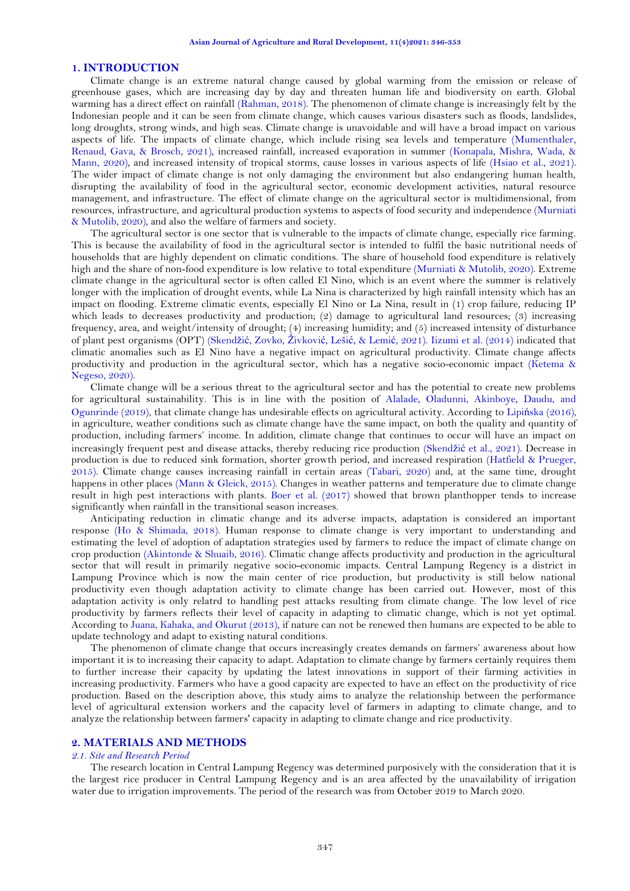## **1. INTRODUCTION**

Climate change is an extreme natural change caused by global warming from the emission or release of greenhouse gases, which are increasing day by day and threaten human life and biodiversity on earth. Global warming has a direct effect on rainfall [\(Rahman, 2018\)](#page-6-0). The phenomenon of climate change is increasingly felt by the Indonesian people and it can be seen from climate change, which causes various disasters such as floods, landslides, long droughts, strong winds, and high seas. Climate change is unavoidable and will have a broad impact on various aspects of life. The impacts of climate change, which include rising sea levels and temperature [\(Mumenthaler,](#page-6-1)  [Renaud, Gava, & Brosch, 2021\)](#page-6-1), increased rainfall, increased evaporation in summer [\(Konapala, Mishra, Wada, &](#page-6-2)  [Mann,](#page-6-2) 2020), and increased intensity of tropical storms, cause losses in various aspects of life [\(Hsiao et al., 2021\)](#page-6-3). The wider impact of climate change is not only damaging the environment but also endangering human health, disrupting the availability of food in the agricultural sector, economic development activities, natural resource management, and infrastructure. The effect of climate change on the agricultural sector is multidimensional, from resources, infrastructure, and agricultural production systems to aspects of food security and independence [\(Murniati](#page-6-4)  [& Mutolib, 2020\)](#page-6-4), and also the welfare of farmers and society.

The agricultural sector is one sector that is vulnerable to the impacts of climate change, especially rice farming. This is because the availability of food in the agricultural sector is intended to fulfil the basic nutritional needs of households that are highly dependent on climatic conditions. The share of household food expenditure is relatively high and the share of non-food expenditure is low relative to total expenditure [\(Murniati & Mutolib, 2020\)](#page-6-4). Extreme climate change in the agricultural sector is often called El Nino, which is an event where the summer is relatively longer with the implication of drought events, while La Nina is characterized by high rainfall intensity which has an impact on flooding. Extreme climatic events, especially El Nino or La Nina, result in (1) crop failure, reducing IP which leads to decreases productivity and production; (2) damage to agricultural land resources; (3) increasing frequency, area, and weight/intensity of drought; (4) increasing humidity; and (5) increased intensity of disturbance of plant pest organisms (OPT) (Skendžić[, Zovko,](#page-7-0) Živković, Lešić, & Lemić, 2021). [Iizumi et al. \(2014\)](#page-6-5) indicated that climatic anomalies such as El Nino have a negative impact on agricultural productivity. Climate change affects productivity and production in the agricultural sector, which has a negative socio-economic impact [\(Ketema &](#page-6-6)  [Negeso, 2020\)](#page-6-6).

Climate change will be a serious threat to the agricultural sector and has the potential to create new problems for agricultural sustainability. This is in line with the position of [Alalade, Oladunni, Akinboye, Daudu, and](#page-6-7)  [Ogunrinde \(2019\)](#page-6-7), that climate change has undesirable effects on agricultural activity. According to Lipiń[ska \(2016\)](#page-6-8), in agriculture, weather conditions such as climate change have the same impact, on both the quality and quantity of production, including farmers' income. In addition, climate change that continues to occur will have an impact on increasingly frequent pest and disease attacks, thereby reducing rice production (Skendžić [et al., 2021\)](#page-7-0). Decrease in production is due to reduced sink formation, shorter growth period, and increased respiration [\(Hatfield & Prueger,](#page-6-9)  [2015\)](#page-6-9). Climate change causes increasing rainfall in certain areas [\(Tabari, 2020\)](#page-7-1) and, at the same time, drought happens in other places [\(Mann & Gleick, 2015\)](#page-6-10). Changes in weather patterns and temperature due to climate change result in high pest interactions with plants. [Boer et al. \(2017\)](#page-6-11) showed that brown planthopper tends to increase significantly when rainfall in the transitional season increases.

Anticipating reduction in climatic change and its adverse impacts, adaptation is considered an important response [\(Ho & Shimada, 2018\)](#page-6-12). Human response to climate change is very important to understanding and estimating the level of adoption of adaptation strategies used by farmers to reduce the impact of climate change on crop production [\(Akintonde & Shuaib, 2016\)](#page-6-13). Climatic change affects productivity and production in the agricultural sector that will result in primarily negative socio-economic impacts. Central Lampung Regency is a district in Lampung Province which is now the main center of rice production, but productivity is still below national productivity even though adaptation activity to climate change has been carried out. However, most of this adaptation activity is only relatrd to handling pest attacks resulting from climate change. The low level of rice productivity by farmers reflects their level of capacity in adapting to climatic change, which is not yet optimal. According to [Juana, Kahaka, and Okurut \(2013\)](#page-6-14), if nature can not be renewed then humans are expected to be able to update technology and adapt to existing natural conditions.

The phenomenon of climate change that occurs increasingly creates demands on farmers' awareness about how important it is to increasing their capacity to adapt. Adaptation to climate change by farmers certainly requires them to further increase their capacity by updating the latest innovations in support of their farming activities in increasing productivity. Farmers who have a good capacity are expected to have an effect on the productivity of rice production. Based on the description above, this study aims to analyze the relationship between the performance level of agricultural extension workers and the capacity level of farmers in adapting to climate change, and to analyze the relationship between farmers' capacity in adapting to climate change and rice productivity.

## **2. MATERIALS AND METHODS**

#### *2.1. Site and Research Period*

The research location in Central Lampung Regency was determined purposively with the consideration that it is the largest rice producer in Central Lampung Regency and is an area affected by the unavailability of irrigation water due to irrigation improvements. The period of the research was from October 2019 to March 2020.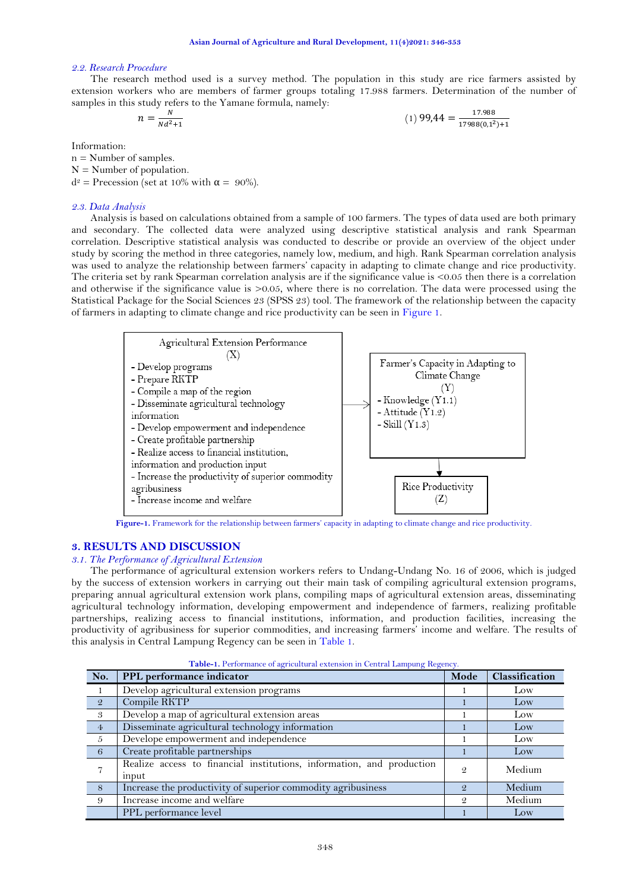## *2.2. Research Procedure*

The research method used is a survey method. The population in this study are rice farmers assisted by extension workers who are members of farmer groups totaling 17.988 farmers. Determination of the number of samples in this study refers to the Yamane formula, namely: 17.988

17988(0,12

$$
n = \frac{N}{Nd^2 + 1} \tag{1) 99,44}
$$

Information:

 $n =$  Number of samples.  $N =$  Number of population.  $d^2$  = Precession (set at 10% with  $\alpha = 90\%$ ).

#### *2.3. Data Analysis*

Analysis is based on calculations obtained from a sample of 100 farmers. The types of data used are both primary and secondary. The collected data were analyzed using descriptive statistical analysis and rank Spearman correlation. Descriptive statistical analysis was conducted to describe or provide an overview of the object under study by scoring the method in three categories, namely low, medium, and high. Rank Spearman correlation analysis was used to analyze the relationship between farmers' capacity in adapting to climate change and rice productivity. The criteria set by rank Spearman correlation analysis are if the significance value is  $\leq 0.05$  then there is a correlation and otherwise if the significance value is >0.05, where there is no correlation. The data were processed using the Statistical Package for the Social Sciences 23 (SPSS 23) tool. The framework of the relationship between the capacity of farmers in adapting to climate change and rice productivity can be seen in [Figure 1.](#page-2-0)



**Figure-1.** Framework for the relationship between farmers' capacity in adapting to climate change and rice productivity.

## <span id="page-2-0"></span>**3. RESULTS AND DISCUSSION**

#### *3.1. The Performance of Agricultural Extension*

The performance of agricultural extension workers refers to Undang-Undang No. 16 of 2006, which is judged by the success of extension workers in carrying out their main task of compiling agricultural extension programs, preparing annual agricultural extension work plans, compiling maps of agricultural extension areas, disseminating agricultural technology information, developing empowerment and independence of farmers, realizing profitable partnerships, realizing access to financial institutions, information, and production facilities, increasing the productivity of agribusiness for superior commodities, and increasing farmers' income and welfare. The results of this analysis in Central Lampung Regency can be seen in [Table 1.](#page-2-1)

<span id="page-2-1"></span>

| No.            | PPL performance indicator                                                      | Mode | Classification |
|----------------|--------------------------------------------------------------------------------|------|----------------|
|                | Develop agricultural extension programs                                        |      | Low            |
| $\mathcal{Q}$  | Compile RKTP                                                                   |      | Low            |
| 3              | Develop a map of agricultural extension areas                                  |      | Low            |
| $\overline{4}$ | Disseminate agricultural technology information                                |      | Low            |
| $\mathcal{L}$  | Develope empowerment and independence                                          |      | Low            |
| 6              | Create profitable partnerships                                                 |      | Low            |
|                | Realize access to financial institutions, information, and production<br>input | 9    | Medium         |
| 8              | Increase the productivity of superior commodity agribusiness                   | Q    | Medium         |
| 9              | Increase income and welfare                                                    | 9    | Medium         |
|                | PPL performance level                                                          |      | Low            |

**Table-1.** Performance of agricultural extension in Central Lampung Regency.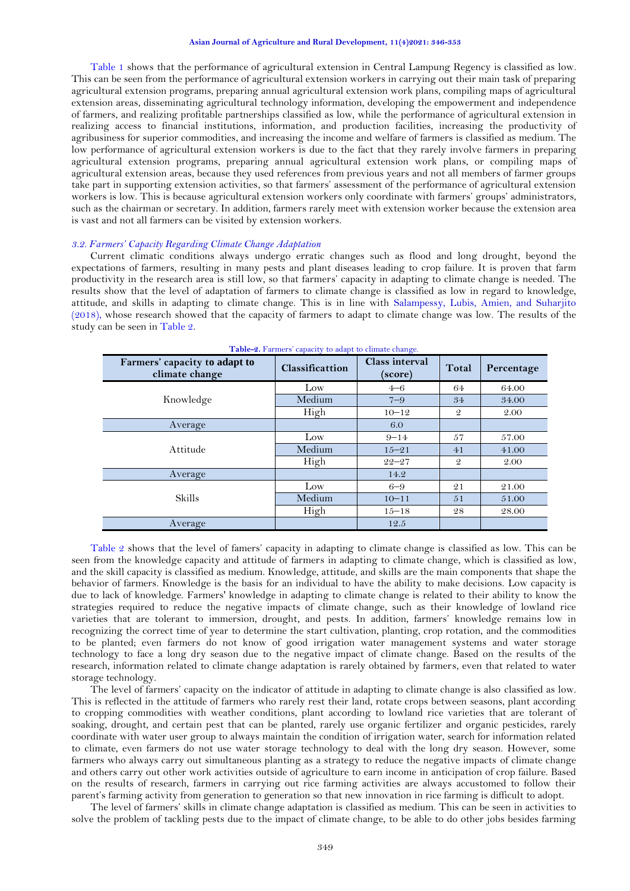#### **Asian Journal of Agriculture and Rural Development, 11(4)2021: 346-353**

[Table 1](#page-2-1) shows that the performance of agricultural extension in Central Lampung Regency is classified as low. This can be seen from the performance of agricultural extension workers in carrying out their main task of preparing agricultural extension programs, preparing annual agricultural extension work plans, compiling maps of agricultural extension areas, disseminating agricultural technology information, developing the empowerment and independence of farmers, and realizing profitable partnerships classified as low, while the performance of agricultural extension in realizing access to financial institutions, information, and production facilities, increasing the productivity of agribusiness for superior commodities, and increasing the income and welfare of farmers is classified as medium. The low performance of agricultural extension workers is due to the fact that they rarely involve farmers in preparing agricultural extension programs, preparing annual agricultural extension work plans, or compiling maps of agricultural extension areas, because they used references from previous years and not all members of farmer groups take part in supporting extension activities, so that farmers' assessment of the performance of agricultural extension workers is low. This is because agricultural extension workers only coordinate with farmers' groups' administrators, such as the chairman or secretary. In addition, farmers rarely meet with extension worker because the extension area is vast and not all farmers can be visited by extension workers.

## *3.2. Farmers' Capacity Regarding Climate Change Adaptation*

Current climatic conditions always undergo erratic changes such as flood and long drought, beyond the expectations of farmers, resulting in many pests and plant diseases leading to crop failure. It is proven that farm productivity in the research area is still low, so that farmers' capacity in adapting to climate change is needed. The results show that the level of adaptation of farmers to climate change is classified as low in regard to knowledge, attitude, and skills in adapting to climate change. This is in line with [Salampessy, Lubis, Amien, and Suharjito](#page-7-2)  [\(2018\)](#page-7-2), whose research showed that the capacity of farmers to adapt to climate change was low. The results of the study can be seen in [Table 2.](#page-3-0)

<span id="page-3-0"></span>

| <b>Table-2.</b> Farmers capacity to agapt to chinate change. |                        |                                  |               |            |
|--------------------------------------------------------------|------------------------|----------------------------------|---------------|------------|
| Farmers' capacity to adapt to<br>climate change              | <b>Classificattion</b> | <b>Class interval</b><br>(score) | Total         | Percentage |
|                                                              | Low                    | $4 - 6$                          | 64            | 64.00      |
| Knowledge                                                    | Medium                 | $7 - 9$                          | 34            | 34.00      |
|                                                              | High                   | $10 - 12$                        | $\mathcal{Q}$ | 2.00       |
| Average                                                      |                        | 6.0                              |               |            |
|                                                              | Low                    | $9 - 14$                         | 57            | 57.00      |
| Attitude                                                     | Medium                 | $15 - 21$                        | 41            | 41.00      |
|                                                              | High                   | $22 - 27$                        | $\mathcal{Q}$ | 2.00       |
| Average                                                      |                        | 14.2                             |               |            |
|                                                              | Low                    | $6 - 9$                          | 21            | 21.00      |
| <b>Skills</b>                                                | Medium                 | $10 - 11$                        | 51            | 51.00      |
|                                                              | High                   | $15 - 18$                        | 28            | 28.00      |
| Average                                                      |                        | 12.5                             |               |            |

**Table-2.** Farmers' capacity to adapt to climate change.

[Table 2](#page-3-0) shows that the level of famers' capacity in adapting to climate change is classified as low. This can be seen from the knowledge capacity and attitude of farmers in adapting to climate change, which is classified as low, and the skill capacity is classified as medium. Knowledge, attitude, and skills are the main components that shape the behavior of farmers. Knowledge is the basis for an individual to have the ability to make decisions. Low capacity is due to lack of knowledge. Farmers' knowledge in adapting to climate change is related to their ability to know the strategies required to reduce the negative impacts of climate change, such as their knowledge of lowland rice varieties that are tolerant to immersion, drought, and pests. In addition, farmers' knowledge remains low in recognizing the correct time of year to determine the start cultivation, planting, crop rotation, and the commodities to be planted; even farmers do not know of good irrigation water management systems and water storage technology to face a long dry season due to the negative impact of climate change. Based on the results of the research, information related to climate change adaptation is rarely obtained by farmers, even that related to water storage technology.

The level of farmers' capacity on the indicator of attitude in adapting to climate change is also classified as low. This is reflected in the attitude of farmers who rarely rest their land, rotate crops between seasons, plant according to cropping commodities with weather conditions, plant according to lowland rice varieties that are tolerant of soaking, drought, and certain pest that can be planted, rarely use organic fertilizer and organic pesticides, rarely coordinate with water user group to always maintain the condition of irrigation water, search for information related to climate, even farmers do not use water storage technology to deal with the long dry season. However, some farmers who always carry out simultaneous planting as a strategy to reduce the negative impacts of climate change and others carry out other work activities outside of agriculture to earn income in anticipation of crop failure. Based on the results of research, farmers in carrying out rice farming activities are always accustomed to follow their parent's farming activity from generation to generation so that new innovation in rice farming is difficult to adopt.

The level of farmers' skills in climate change adaptation is classified as medium. This can be seen in activities to solve the problem of tackling pests due to the impact of climate change, to be able to do other jobs besides farming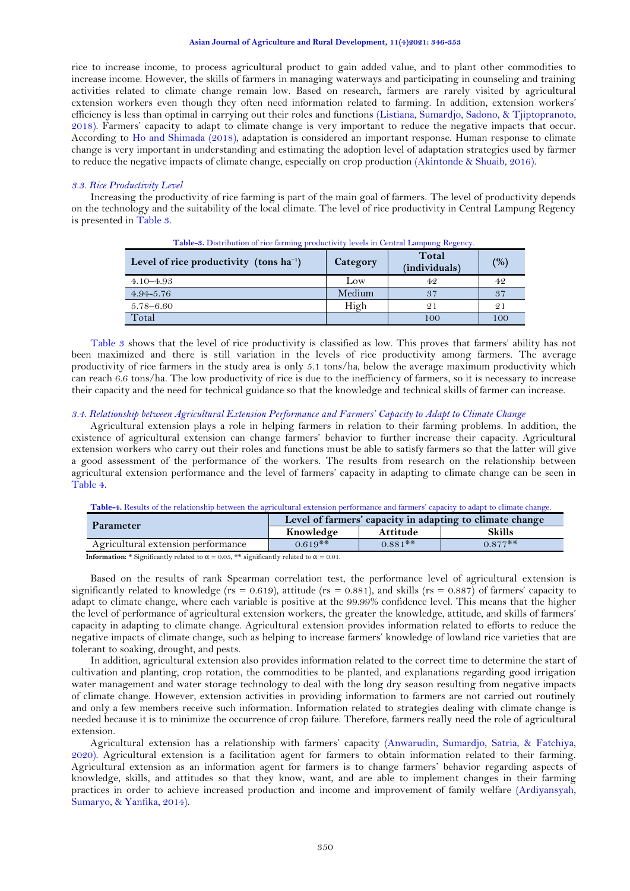rice to increase income, to process agricultural product to gain added value, and to plant other commodities to increase income. However, the skills of farmers in managing waterways and participating in counseling and training activities related to climate change remain low. Based on research, farmers are rarely visited by agricultural extension workers even though they often need information related to farming. In addition, extension workers' efficiency is less than optimal in carrying out their roles and functions [\(Listiana, Sumardjo, Sadono, & Tjiptopranoto,](#page-6-15)  [2018\)](#page-6-15). Farmers' capacity to adapt to climate change is very important to reduce the negative impacts that occur. According to [Ho and Shimada \(2018\)](#page-6-12), adaptation is considered an important response. Human response to climate change is very important in understanding and estimating the adoption level of adaptation strategies used by farmer to reduce the negative impacts of climate change, especially on crop production [\(Akintonde & Shuaib, 2016\)](#page-6-13).

#### *3.3. Rice Productivity Level*

<span id="page-4-0"></span>Increasing the productivity of rice farming is part of the main goal of farmers. The level of productivity depends on the technology and the suitability of the local climate. The level of rice productivity in Central Lampung Regency is presented in [Table 3.](#page-4-0)

| Level of rice productivity (tons $ha^{-1}$ ) | <b>Category</b> | Total<br>(individuals) | $(%^{o})^{1}$ |
|----------------------------------------------|-----------------|------------------------|---------------|
| $4.10 - 4.93$                                | Low             | 42                     | 42            |
| $4.94 - 5.76$                                | Medium          | 37                     | 37            |
| $5.78 - 6.60$                                | High            | 21                     | 21            |
| Total                                        |                 | 100                    | 100           |

**Table-3.** Distribution of rice farming productivity levels in Central Lampung Regency.

[Table 3](#page-4-0) shows that the level of rice productivity is classified as low. This proves that farmers' ability has not been maximized and there is still variation in the levels of rice productivity among farmers. The average productivity of rice farmers in the study area is only 5.1 tons/ha, below the average maximum productivity which can reach 6.6 tons/ha. The low productivity of rice is due to the inefficiency of farmers, so it is necessary to increase their capacity and the need for technical guidance so that the knowledge and technical skills of farmer can increase.

## *3.4. Relationship between Agricultural Extension Performance and Farmers' Capacity to Adapt to Climate Change*

Agricultural extension plays a role in helping farmers in relation to their farming problems. In addition, the existence of agricultural extension can change farmers' behavior to further increase their capacity. Agricultural extension workers who carry out their roles and functions must be able to satisfy farmers so that the latter will give a good assessment of the performance of the workers. The results from research on the relationship between agricultural extension performance and the level of farmers' capacity in adapting to climate change can be seen in [Table 4.](#page-4-1)

**Table-4.** Results of the relationship between the agricultural extension performance and farmers' capacity to adapt to climate change.

<span id="page-4-1"></span>

| <b>Parameter</b>                   | Level of farmers' capacity in adapting to climate change |           |           |  |
|------------------------------------|----------------------------------------------------------|-----------|-----------|--|
|                                    | Knowledge                                                | Attitude  | Skills    |  |
| Agricultural extension performance | $0.619**$                                                | $0.881**$ | $0.877**$ |  |

**Information:** \* Significantly related to  $\alpha = 0.05$ , \*\* significantly related to  $\alpha = 0.01$ .

Based on the results of rank Spearman correlation test, the performance level of agricultural extension is significantly related to knowledge ( $rs = 0.619$ ), attitude ( $rs = 0.881$ ), and skills ( $rs = 0.887$ ) of farmers' capacity to adapt to climate change, where each variable is positive at the 99.99% confidence level. This means that the higher the level of performance of agricultural extension workers, the greater the knowledge, attitude, and skills of farmers' capacity in adapting to climate change. Agricultural extension provides information related to efforts to reduce the negative impacts of climate change, such as helping to increase farmers' knowledge of lowland rice varieties that are tolerant to soaking, drought, and pests.

In addition, agricultural extension also provides information related to the correct time to determine the start of cultivation and planting, crop rotation, the commodities to be planted, and explanations regarding good irrigation water management and water storage technology to deal with the long dry season resulting from negative impacts of climate change. However, extension activities in providing information to farmers are not carried out routinely and only a few members receive such information. Information related to strategies dealing with climate change is needed because it is to minimize the occurrence of crop failure. Therefore, farmers really need the role of agricultural extension.

Agricultural extension has a relationship with farmers' capacity [\(Anwarudin, Sumardjo, Satria, & Fatchiya,](#page-6-16)  [2020\)](#page-6-16). Agricultural extension is a facilitation agent for farmers to obtain information related to their farming. Agricultural extension as an information agent for farmers is to change farmers' behavior regarding aspects of knowledge, skills, and attitudes so that they know, want, and are able to implement changes in their farming practices in order to achieve increased production and income and improvement of family welfare [\(Ardiyansyah,](#page-6-17)  [Sumaryo, & Yanfika, 2014\)](#page-6-17).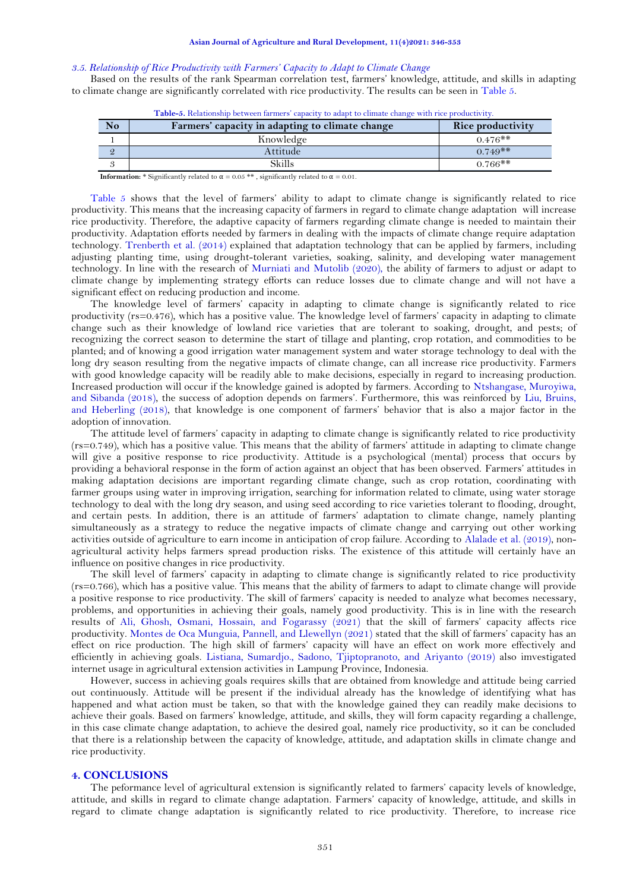#### *3.5. Relationship of Rice Productivity with Farmers' Capacity to Adapt to Climate Change*

Based on the results of the rank Spearman correlation test, farmers' knowledge, attitude, and skills in adapting to climate change are significantly correlated with rice productivity. The results can be seen in [Table 5.](#page-5-0)

<span id="page-5-0"></span>

|    | <b>Table-5.</b> Relationship between farmers capacity to adapt to climate change with rice productivity. |                   |  |  |
|----|----------------------------------------------------------------------------------------------------------|-------------------|--|--|
| No | Farmers' capacity in adapting to climate change                                                          | Rice productivity |  |  |
|    | Knowledge                                                                                                | $0.476**$         |  |  |
|    | Attitude                                                                                                 | $0.749**$         |  |  |
|    | Skills                                                                                                   | $0.766**$         |  |  |

**Table-5.** Relationship between farmers' capacity to adapt to climate change with rice productivity.

**Information:** \* Significantly related to  $\alpha = 0.05$  \*\*, significantly related to  $\alpha = 0.01$ .

[Table 5](#page-5-0) shows that the level of farmers' ability to adapt to climate change is significantly related to rice productivity. This means that the increasing capacity of farmers in regard to climate change adaptation will increase rice productivity. Therefore, the adaptive capacity of farmers regarding climate change is needed to maintain their productivity. Adaptation efforts needed by farmers in dealing with the impacts of climate change require adaptation technology. [Trenberth et al. \(2014\)](#page-7-3) explained that adaptation technology that can be applied by farmers, including adjusting planting time, using drought-tolerant varieties, soaking, salinity, and developing water management technology. In line with the research of [Murniati and Mutolib \(2020\)](#page-6-4), the ability of farmers to adjust or adapt to climate change by implementing strategy efforts can reduce losses due to climate change and will not have a significant effect on reducing production and income.

The knowledge level of farmers' capacity in adapting to climate change is significantly related to rice productivity (rs=0.476), which has a positive value. The knowledge level of farmers' capacity in adapting to climate change such as their knowledge of lowland rice varieties that are tolerant to soaking, drought, and pests; of recognizing the correct season to determine the start of tillage and planting, crop rotation, and commodities to be planted; and of knowing a good irrigation water management system and water storage technology to deal with the long dry season resulting from the negative impacts of climate change, can all increase rice productivity. Farmers with good knowledge capacity will be readily able to make decisions, especially in regard to increasing production. Increased production will occur if the knowledge gained is adopted by farmers. According to [Ntshangase, Muroyiwa,](#page-6-18)  [and Sibanda \(2018\)](#page-6-18), the success of adoption depends on farmers'. Furthermore, this was reinforced by [Liu, Bruins,](#page-6-19)  [and Heberling \(2018\)](#page-6-19), that knowledge is one component of farmers' behavior that is also a major factor in the adoption of innovation.

The attitude level of farmers' capacity in adapting to climate change is significantly related to rice productivity (rs=0.749), which has a positive value. This means that the ability of farmers' attitude in adapting to climate change will give a positive response to rice productivity. Attitude is a psychological (mental) process that occurs by providing a behavioral response in the form of action against an object that has been observed. Farmers' attitudes in making adaptation decisions are important regarding climate change, such as crop rotation, coordinating with farmer groups using water in improving irrigation, searching for information related to climate, using water storage technology to deal with the long dry season, and using seed according to rice varieties tolerant to flooding, drought, and certain pests. In addition, there is an attitude of farmers' adaptation to climate change, namely planting simultaneously as a strategy to reduce the negative impacts of climate change and carrying out other working activities outside of agriculture to earn income in anticipation of crop failure. According to [Alalade et al. \(2019\)](#page-6-7), nonagricultural activity helps farmers spread production risks. The existence of this attitude will certainly have an influence on positive changes in rice productivity.

The skill level of farmers' capacity in adapting to climate change is significantly related to rice productivity (rs=0.766), which has a positive value. This means that the ability of farmers to adapt to climate change will provide a positive response to rice productivity. The skill of farmers' capacity is needed to analyze what becomes necessary, problems, and opportunities in achieving their goals, namely good productivity. This is in line with the research results of [Ali, Ghosh, Osmani, Hossain, and Fogarassy \(2021\)](#page-6-20) that the skill of farmers' capacity affects rice productivity[. Montes de Oca Munguia, Pannell, and Llewellyn \(2021\)](#page-6-21) stated that the skill of farmers' capacity has an effect on rice production. The high skill of farmers' capacity will have an effect on work more effectively and efficiently in achieving goals. [Listiana, Sumardjo., Sadono, Tjiptopranoto, and Ariyanto \(2019\)](#page-6-22) also imvestigated internet usage in agricultural extension activities in Lampung Province, Indonesia.

However, success in achieving goals requires skills that are obtained from knowledge and attitude being carried out continuously. Attitude will be present if the individual already has the knowledge of identifying what has happened and what action must be taken, so that with the knowledge gained they can readily make decisions to achieve their goals. Based on farmers' knowledge, attitude, and skills, they will form capacity regarding a challenge, in this case climate change adaptation, to achieve the desired goal, namely rice productivity, so it can be concluded that there is a relationship between the capacity of knowledge, attitude, and adaptation skills in climate change and rice productivity.

## **4. CONCLUSIONS**

The peformance level of agricultural extension is significantly related to farmers' capacity levels of knowledge, attitude, and skills in regard to climate change adaptation. Farmers' capacity of knowledge, attitude, and skills in regard to climate change adaptation is significantly related to rice productivity. Therefore, to increase rice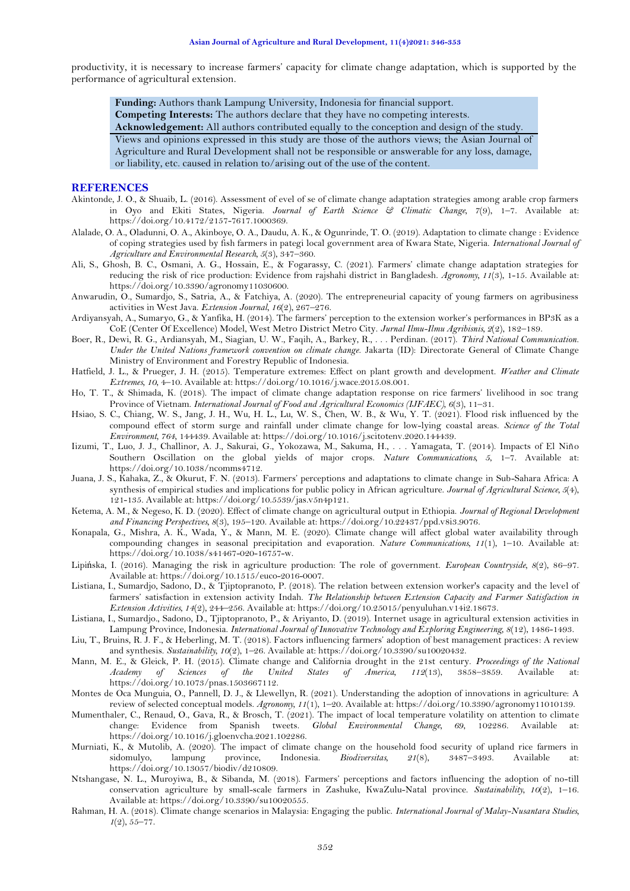productivity, it is necessary to increase farmers' capacity for climate change adaptation, which is supported by the performance of agricultural extension.

**Funding:** Authors thank Lampung University, Indonesia for financial support.

**Competing Interests:** The authors declare that they have no competing interests.

**Acknowledgement:** All authors contributed equally to the conception and design of the study.

Views and opinions expressed in this study are those of the authors views; the Asian Journal of

Agriculture and Rural Development shall not be responsible or answerable for any loss, damage, or liability, etc. caused in relation to/arising out of the use of the content.

#### **REFERENCES**

- <span id="page-6-13"></span>Akintonde, J. O., & Shuaib, L. (2016). Assessment of evel of se of climate change adaptation strategies among arable crop farmers in Oyo and Ekiti States, Nigeria. *Journal of Earth Science & Climatic Change, 7*(9), 1–7. Available at: https://doi.org/10.4172/2157-7617.1000369.
- <span id="page-6-7"></span>Alalade, O. A., Oladunni, O. A., Akinboye, O. A., Daudu, A. K., & Ogunrinde, T. O. (2019). Adaptation to climate change : Evidence of coping strategies used by fish farmers in pategi local government area of Kwara State, Nigeria. *International Journal of Agriculture and Environmental Research, 5*(3), 347–360.
- <span id="page-6-20"></span>Ali, S., Ghosh, B. C., Osmani, A. G., Hossain, E., & Fogarassy, C. (2021). Farmers' climate change adaptation strategies for reducing the risk of rice production: Evidence from rajshahi district in Bangladesh. *Agronomy, 11*(3), 1-15. Available at: https://doi.org/10.3390/agronomy11030600.
- <span id="page-6-16"></span>Anwarudin, O., Sumardjo, S., Satria, A., & Fatchiya, A. (2020). The entrepreneurial capacity of young farmers on agribusiness activities in West Java. *Extension Journal, 16*(2), 267–276.
- <span id="page-6-17"></span>Ardiyansyah, A., Sumaryo, G., & Yanfika, H. (2014). The farmers' perception to the extension worker's performances in BP3K as a CoE (Center Of Excellence) Model, West Metro District Metro City. *Jurnal Ilmu-Ilmu Agribisnis, 2*(2), 182–189.
- <span id="page-6-11"></span>Boer, R., Dewi, R. G., Ardiansyah, M., Siagian, U. W., Faqih, A., Barkey, R., . . . Perdinan. (2017). *Third National Communication. Under the United Nations framework convention on climate change*. Jakarta (ID): Directorate General of Climate Change Ministry of Environment and Forestry Republic of Indonesia.
- <span id="page-6-9"></span>Hatfield, J. L., & Prueger, J. H. (2015). Temperature extremes: Effect on plant growth and development. *Weather and Climate Extremes, 10*, 4–10. Available at: https://doi.org/10.1016/j.wace.2015.08.001.
- <span id="page-6-12"></span>Ho, T. T., & Shimada, K. (2018). The impact of climate change adaptation response on rice farmers' livelihood in soc trang Province of Vietnam. *International Journal of Food and Agricultural Economics (IJFAEC), 6*(3), 11–31.
- <span id="page-6-3"></span>Hsiao, S. C., Chiang, W. S., Jang, J. H., Wu, H. L., Lu, W. S., Chen, W. B., & Wu, Y. T. (2021). Flood risk influenced by the compound effect of storm surge and rainfall under climate change for low-lying coastal areas. *Science of the Total Environment, 764*, 144439. Available at: https://doi.org/10.1016/j.scitotenv.2020.144439.
- <span id="page-6-5"></span>Iizumi, T., Luo, J. J., Challinor, A. J., Sakurai, G., Yokozawa, M., Sakuma, H., . . . Yamagata, T. (2014). Impacts of El Niño Southern Oscillation on the global yields of major crops. *Nature Communications, 5*, 1–7. Available at: https://doi.org/10.1038/ncomms4712.
- <span id="page-6-14"></span>Juana, J. S., Kahaka, Z., & Okurut, F. N. (2013). Farmers' perceptions and adaptations to climate change in Sub-Sahara Africa: A synthesis of empirical studies and implications for public policy in African agriculture. *Journal of Agricultural Science, 5*(4), 121-135. Available at: https://doi.org/10.5539/jas.v5n4p121.
- <span id="page-6-6"></span>Ketema, A. M., & Negeso, K. D. (2020). Effect of climate change on agricultural output in Ethiopia. *Journal of Regional Development and Financing Perspectives, 8*(3), 195–120. Available at: https://doi.org/10.22437/ppd.v8i3.9076.
- <span id="page-6-2"></span>Konapala, G., Mishra, A. K., Wada, Y., & Mann, M. E. (2020). Climate change will affect global water availability through compounding changes in seasonal precipitation and evaporation. *Nature Communications, 11*(1), 1–10. Available at: https://doi.org/10.1038/s41467-020-16757-w.
- <span id="page-6-8"></span>Lipińska, I. (2016). Managing the risk in agriculture production: The role of government. *European Countryside, 8*(2), 86–97. Available at: https://doi.org/10.1515/euco-2016-0007.
- <span id="page-6-15"></span>Listiana, I., Sumardjo, Sadono, D., & Tjiptopranoto, P. (2018). The relation between extension worker's capacity and the level of farmers' satisfaction in extension activity Indah. *The Relationship between Extension Capacity and Farmer Satisfaction in Extension Activities, 14*(2), 244–256. Available at: https://doi.org/10.25015/penyuluhan.v14i2.18673.
- <span id="page-6-22"></span>Listiana, I., Sumardjo., Sadono, D., Tjiptopranoto, P., & Ariyanto, D. (2019). Internet usage in agricultural extension activities in Lampung Province, Indonesia. *International Journal of Innovative Technology and Exploring Engineering, 8*(12), 1486-1493.
- <span id="page-6-19"></span>Liu, T., Bruins, R. J. F., & Heberling, M. T. (2018). Factors influencing farmers' adoption of best management practices: A review and synthesis. *Sustainability, 10*(2), 1–26. Available at: https://doi.org/10.3390/su10020432.
- <span id="page-6-10"></span>Mann, M. E., & Gleick, P. H. (2015). Climate change and California drought in the 21st century. *Proceedings of the National Academy of Sciences of the United States of America, 112*(13), 3858–3859. Available at: https://doi.org/10.1073/pnas.1503667112.
- <span id="page-6-21"></span>Montes de Oca Munguia, O., Pannell, D. J., & Llewellyn, R. (2021). Understanding the adoption of innovations in agriculture: A review of selected conceptual models. *Agronomy, 11*(1), 1–20. Available at: https://doi.org/10.3390/agronomy11010139.
- <span id="page-6-1"></span>Mumenthaler, C., Renaud, O., Gava, R., & Brosch, T. (2021). The impact of local temperature volatility on attention to climate change: Evidence from Spanish tweets. *Global Environmental Change, 69*, 102286. Available at: https://doi.org/10.1016/j.gloenvcha.2021.102286.
- <span id="page-6-4"></span>Murniati, K., & Mutolib, A. (2020). The impact of climate change on the household food security of upland rice farmers in sidomulyo, lampung province, Indonesia. Biodiversitas, 21(8), 3487-3493. Available at: sidomulyo, lampung province, Indonesia. *Biodiversitas, 21*(8), 3487–3493. Available at: https://doi.org/10.13057/biodiv/d210809.
- <span id="page-6-18"></span>Ntshangase, N. L., Muroyiwa, B., & Sibanda, M. (2018). Farmers' perceptions and factors influencing the adoption of no-till conservation agriculture by small-scale farmers in Zashuke, KwaZulu-Natal province. *Sustainability, 10*(2), 1–16. Available at: https://doi.org/10.3390/su10020555.
- <span id="page-6-0"></span>Rahman, H. A. (2018). Climate change scenarios in Malaysia: Engaging the public. *International Journal of Malay-Nusantara Studies, 1*(2), 55–77.